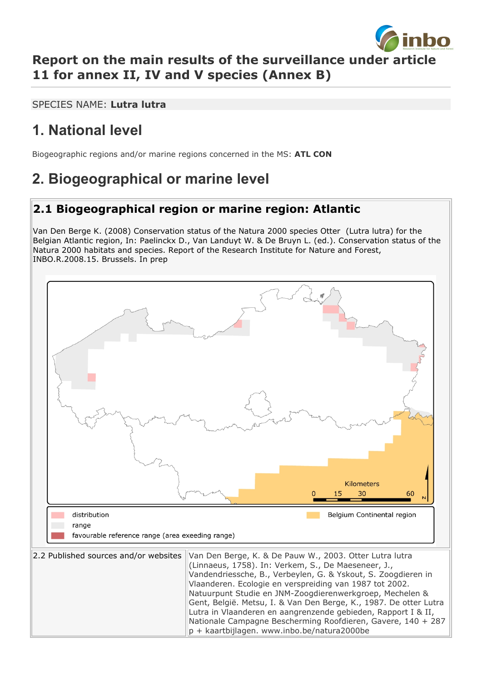

### **Report on the main results of the surveillance under article 11 for annex II, IV and V species (Annex B)**

SPECIES NAME: **Lutra lutra**

# **1. National level**

Biogeographic regions and/or marine regions concerned in the MS: **ATL CON**

# **2. Biogeographical or marine level**

### **2.1 Biogeographical region or marine region: Atlantic**

Van Den Berge K. (2008) Conservation status of the Natura 2000 species Otter (Lutra lutra) for the Belgian Atlantic region, In: Paelinckx D., Van Landuyt W. & De Bruyn L. (ed.). Conservation status of the Natura 2000 habitats and species. Report of the Research Institute for Nature and Forest, INBO.R.2008.15. Brussels. In prep

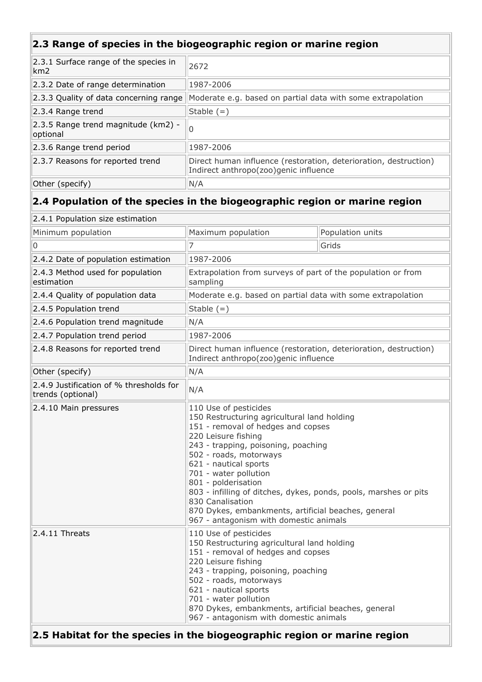### **2.3 Range of species in the biogeographic region or marine region**

| 2.3.1 Surface range of the species in<br>km2    | 2672                                                                                                      |  |
|-------------------------------------------------|-----------------------------------------------------------------------------------------------------------|--|
| 2.3.2 Date of range determination               | 1987-2006                                                                                                 |  |
| 2.3.3 Quality of data concerning range          | Moderate e.g. based on partial data with some extrapolation                                               |  |
| $ 2.3.4$ Range trend                            | Stable $(=)$                                                                                              |  |
| 2.3.5 Range trend magnitude (km2) -<br>optional | ۱O                                                                                                        |  |
| 2.3.6 Range trend period                        | 1987-2006                                                                                                 |  |
| 2.3.7 Reasons for reported trend                | Direct human influence (restoration, deterioration, destruction)<br>Indirect anthropo(zoo)genic influence |  |
| Other (specify)                                 | N/A                                                                                                       |  |

### **2.4 Population of the species in the biogeographic region or marine region**

| 2.4.1 Population size estimation                                         |                                                                                                                                                                                                                                                                                                                                                                                                                                                                      |                  |  |  |
|--------------------------------------------------------------------------|----------------------------------------------------------------------------------------------------------------------------------------------------------------------------------------------------------------------------------------------------------------------------------------------------------------------------------------------------------------------------------------------------------------------------------------------------------------------|------------------|--|--|
| Minimum population                                                       | Maximum population                                                                                                                                                                                                                                                                                                                                                                                                                                                   | Population units |  |  |
| 0                                                                        | 7                                                                                                                                                                                                                                                                                                                                                                                                                                                                    | Grids            |  |  |
| 2.4.2 Date of population estimation                                      | 1987-2006                                                                                                                                                                                                                                                                                                                                                                                                                                                            |                  |  |  |
| 2.4.3 Method used for population<br>estimation                           | Extrapolation from surveys of part of the population or from<br>sampling                                                                                                                                                                                                                                                                                                                                                                                             |                  |  |  |
| 2.4.4 Quality of population data                                         | Moderate e.g. based on partial data with some extrapolation                                                                                                                                                                                                                                                                                                                                                                                                          |                  |  |  |
| 2.4.5 Population trend                                                   | Stable $(=)$                                                                                                                                                                                                                                                                                                                                                                                                                                                         |                  |  |  |
| 2.4.6 Population trend magnitude                                         | N/A                                                                                                                                                                                                                                                                                                                                                                                                                                                                  |                  |  |  |
| 2.4.7 Population trend period                                            | 1987-2006                                                                                                                                                                                                                                                                                                                                                                                                                                                            |                  |  |  |
| 2.4.8 Reasons for reported trend                                         | Direct human influence (restoration, deterioration, destruction)<br>Indirect anthropo(zoo)genic influence                                                                                                                                                                                                                                                                                                                                                            |                  |  |  |
| Other (specify)                                                          | N/A                                                                                                                                                                                                                                                                                                                                                                                                                                                                  |                  |  |  |
| 2.4.9 Justification of % thresholds for<br>trends (optional)             | N/A                                                                                                                                                                                                                                                                                                                                                                                                                                                                  |                  |  |  |
| 2.4.10 Main pressures                                                    | 110 Use of pesticides<br>150 Restructuring agricultural land holding<br>151 - removal of hedges and copses<br>220 Leisure fishing<br>243 - trapping, poisoning, poaching<br>502 - roads, motorways<br>621 - nautical sports<br>701 - water pollution<br>801 - polderisation<br>803 - infilling of ditches, dykes, ponds, pools, marshes or pits<br>830 Canalisation<br>870 Dykes, embankments, artificial beaches, general<br>967 - antagonism with domestic animals |                  |  |  |
| 2.4.11 Threats                                                           | 110 Use of pesticides<br>150 Restructuring agricultural land holding<br>151 - removal of hedges and copses<br>220 Leisure fishing<br>243 - trapping, poisoning, poaching<br>502 - roads, motorways<br>621 - nautical sports<br>701 - water pollution<br>870 Dykes, embankments, artificial beaches, general<br>967 - antagonism with domestic animals                                                                                                                |                  |  |  |
| 2.5 Habitat for the species in the biogeographic region or marine region |                                                                                                                                                                                                                                                                                                                                                                                                                                                                      |                  |  |  |